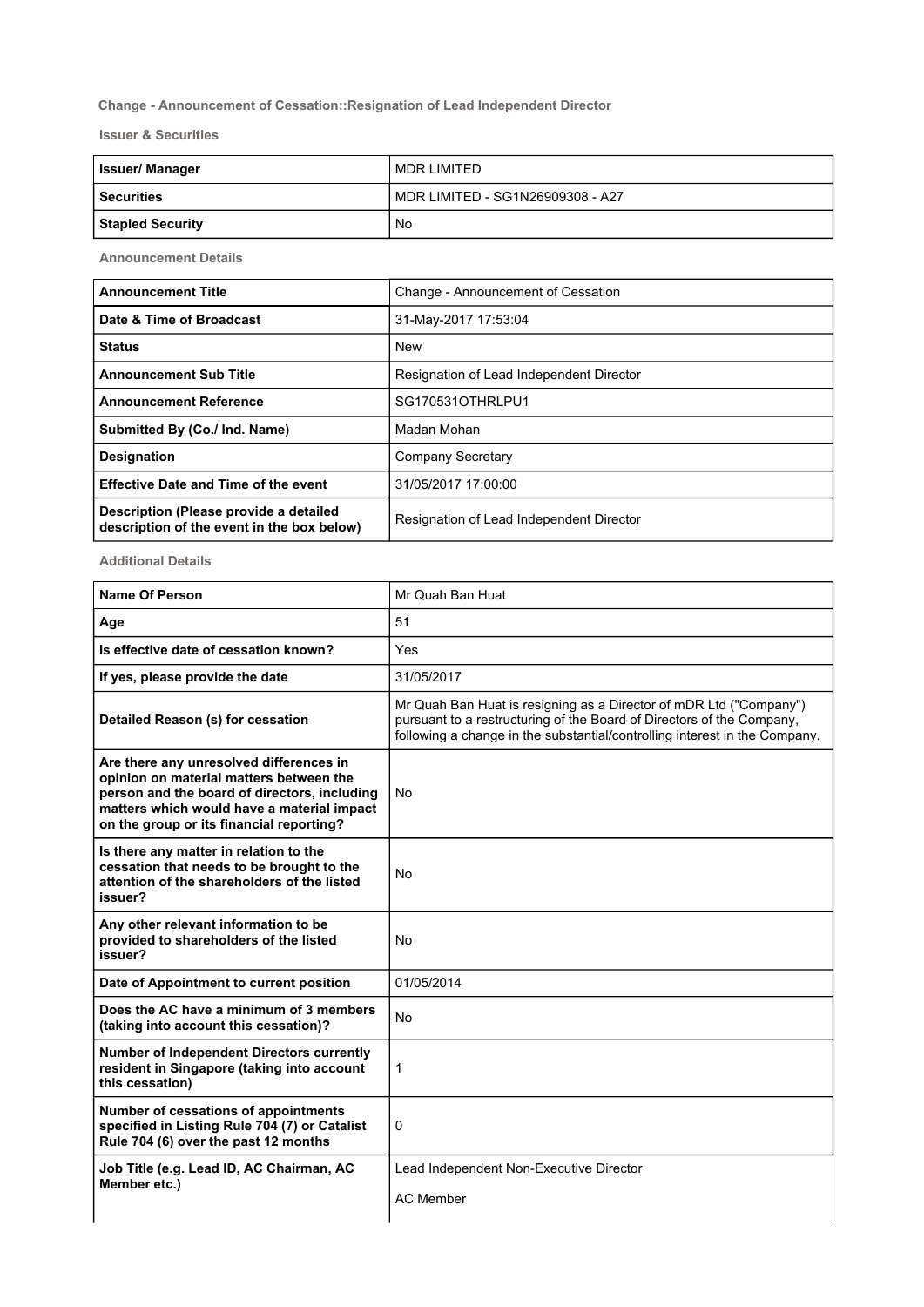## Change - Announcement of Cessation::Resignation of Lead Independent Director

Issuer & Securities

| <b>Issuer/Manager</b>   | MDR LIMITED                      |
|-------------------------|----------------------------------|
| l Securities            | MDR LIMITED - SG1N26909308 - A27 |
| <b>Stapled Security</b> | No                               |

Announcement Details

| <b>Announcement Title</b>                                                            | Change - Announcement of Cessation       |
|--------------------------------------------------------------------------------------|------------------------------------------|
| Date & Time of Broadcast                                                             | 31-May-2017 17:53:04                     |
| <b>Status</b>                                                                        | <b>New</b>                               |
| <b>Announcement Sub Title</b>                                                        | Resignation of Lead Independent Director |
| <b>Announcement Reference</b>                                                        | SG170531OTHRLPU1                         |
| Submitted By (Co./ Ind. Name)                                                        | Madan Mohan                              |
| <b>Designation</b>                                                                   | Company Secretary                        |
| <b>Effective Date and Time of the event</b>                                          | 31/05/2017 17:00:00                      |
| Description (Please provide a detailed<br>description of the event in the box below) | Resignation of Lead Independent Director |

Additional Details

| <b>Name Of Person</b>                                                                                                                                                                                                        | Mr Quah Ban Huat                                                                                                                                                                                                          |
|------------------------------------------------------------------------------------------------------------------------------------------------------------------------------------------------------------------------------|---------------------------------------------------------------------------------------------------------------------------------------------------------------------------------------------------------------------------|
| Age                                                                                                                                                                                                                          | 51                                                                                                                                                                                                                        |
| Is effective date of cessation known?                                                                                                                                                                                        | Yes                                                                                                                                                                                                                       |
| If yes, please provide the date                                                                                                                                                                                              | 31/05/2017                                                                                                                                                                                                                |
| Detailed Reason (s) for cessation                                                                                                                                                                                            | Mr Quah Ban Huat is resigning as a Director of mDR Ltd ("Company")<br>pursuant to a restructuring of the Board of Directors of the Company,<br>following a change in the substantial/controlling interest in the Company. |
| Are there any unresolved differences in<br>opinion on material matters between the<br>person and the board of directors, including<br>matters which would have a material impact<br>on the group or its financial reporting? | <b>No</b>                                                                                                                                                                                                                 |
| Is there any matter in relation to the<br>cessation that needs to be brought to the<br>attention of the shareholders of the listed<br>issuer?                                                                                | No                                                                                                                                                                                                                        |
| Any other relevant information to be<br>provided to shareholders of the listed<br>issuer?                                                                                                                                    | <b>No</b>                                                                                                                                                                                                                 |
| Date of Appointment to current position                                                                                                                                                                                      | 01/05/2014                                                                                                                                                                                                                |
| Does the AC have a minimum of 3 members<br>(taking into account this cessation)?                                                                                                                                             | <b>No</b>                                                                                                                                                                                                                 |
| <b>Number of Independent Directors currently</b><br>resident in Singapore (taking into account<br>this cessation)                                                                                                            | 1                                                                                                                                                                                                                         |
| Number of cessations of appointments<br>specified in Listing Rule 704 (7) or Catalist<br>Rule 704 (6) over the past 12 months                                                                                                | $\Omega$                                                                                                                                                                                                                  |
| Job Title (e.g. Lead ID, AC Chairman, AC<br>Member etc.)                                                                                                                                                                     | Lead Independent Non-Executive Director<br><b>AC Member</b>                                                                                                                                                               |